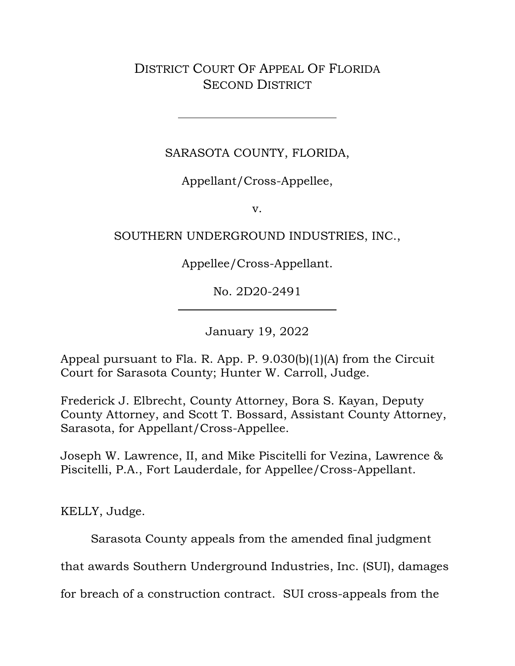DISTRICT COURT OF APPEAL OF FLORIDA SECOND DISTRICT

SARASOTA COUNTY, FLORIDA,

Appellant/Cross-Appellee,

v.

# SOUTHERN UNDERGROUND INDUSTRIES, INC.,

Appellee/Cross-Appellant.

No. 2D20-2491

January 19, 2022

Appeal pursuant to Fla. R. App. P. 9.030(b)(1)(A) from the Circuit Court for Sarasota County; Hunter W. Carroll, Judge.

Frederick J. Elbrecht, County Attorney, Bora S. Kayan, Deputy County Attorney, and Scott T. Bossard, Assistant County Attorney, Sarasota, for Appellant/Cross-Appellee.

Joseph W. Lawrence, II, and Mike Piscitelli for Vezina, Lawrence & Piscitelli, P.A., Fort Lauderdale, for Appellee/Cross-Appellant.

KELLY, Judge.

Sarasota County appeals from the amended final judgment

that awards Southern Underground Industries, Inc. (SUI), damages

for breach of a construction contract. SUI cross-appeals from the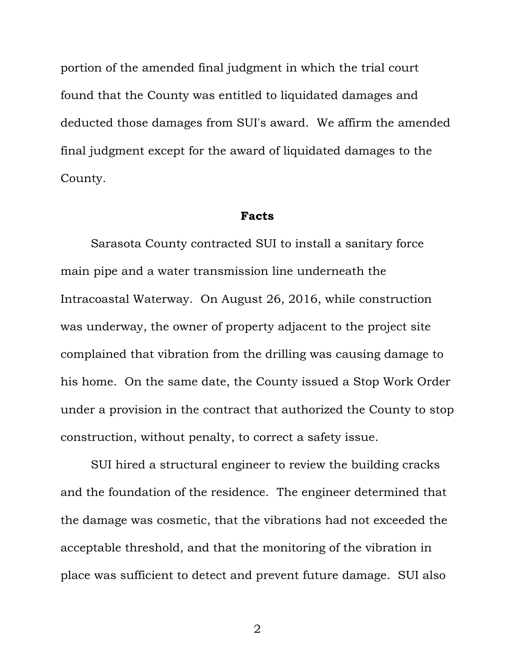portion of the amended final judgment in which the trial court found that the County was entitled to liquidated damages and deducted those damages from SUI's award. We affirm the amended final judgment except for the award of liquidated damages to the County.

#### **Facts**

Sarasota County contracted SUI to install a sanitary force main pipe and a water transmission line underneath the Intracoastal Waterway. On August 26, 2016, while construction was underway, the owner of property adjacent to the project site complained that vibration from the drilling was causing damage to his home. On the same date, the County issued a Stop Work Order under a provision in the contract that authorized the County to stop construction, without penalty, to correct a safety issue.

SUI hired a structural engineer to review the building cracks and the foundation of the residence. The engineer determined that the damage was cosmetic, that the vibrations had not exceeded the acceptable threshold, and that the monitoring of the vibration in place was sufficient to detect and prevent future damage. SUI also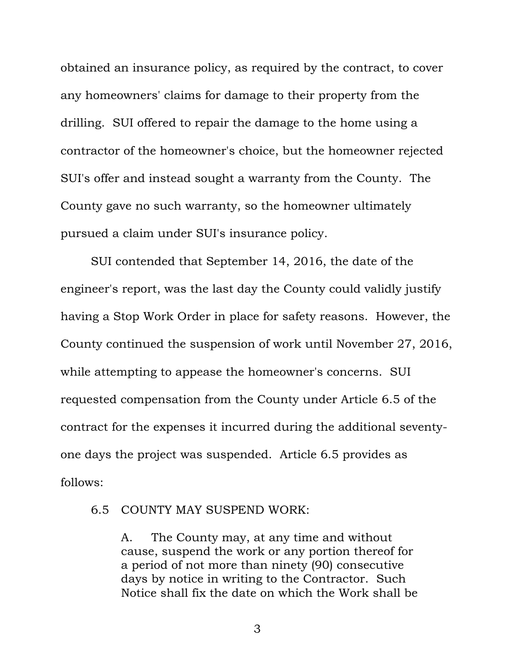obtained an insurance policy, as required by the contract, to cover any homeowners' claims for damage to their property from the drilling. SUI offered to repair the damage to the home using a contractor of the homeowner's choice, but the homeowner rejected SUI's offer and instead sought a warranty from the County. The County gave no such warranty, so the homeowner ultimately pursued a claim under SUI's insurance policy.

SUI contended that September 14, 2016, the date of the engineer's report, was the last day the County could validly justify having a Stop Work Order in place for safety reasons. However, the County continued the suspension of work until November 27, 2016, while attempting to appease the homeowner's concerns. SUI requested compensation from the County under Article 6.5 of the contract for the expenses it incurred during the additional seventyone days the project was suspended. Article 6.5 provides as follows:

## 6.5 COUNTY MAY SUSPEND WORK:

A. The County may, at any time and without cause, suspend the work or any portion thereof for a period of not more than ninety (90) consecutive days by notice in writing to the Contractor. Such Notice shall fix the date on which the Work shall be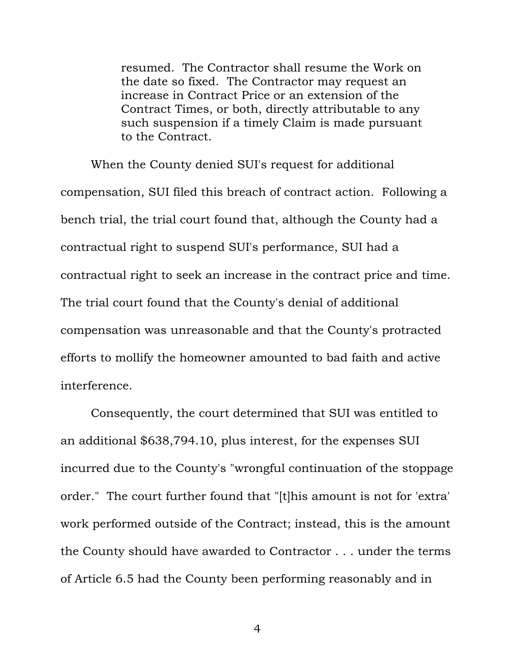resumed. The Contractor shall resume the Work on the date so fixed. The Contractor may request an increase in Contract Price or an extension of the Contract Times, or both, directly attributable to any such suspension if a timely Claim is made pursuant to the Contract.

When the County denied SUI's request for additional compensation, SUI filed this breach of contract action. Following a bench trial, the trial court found that, although the County had a contractual right to suspend SUI's performance, SUI had a contractual right to seek an increase in the contract price and time. The trial court found that the County's denial of additional compensation was unreasonable and that the County's protracted efforts to mollify the homeowner amounted to bad faith and active interference.

Consequently, the court determined that SUI was entitled to an additional \$638,794.10, plus interest, for the expenses SUI incurred due to the County's "wrongful continuation of the stoppage order." The court further found that "[t]his amount is not for 'extra' work performed outside of the Contract; instead, this is the amount the County should have awarded to Contractor . . . under the terms of Article 6.5 had the County been performing reasonably and in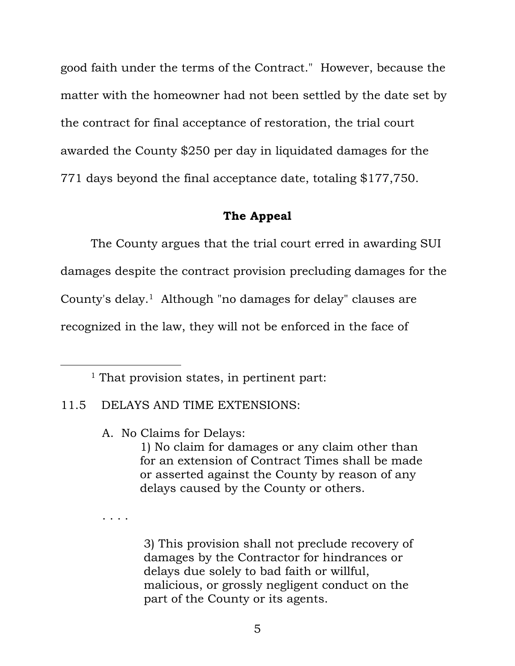good faith under the terms of the Contract." However, because the matter with the homeowner had not been settled by the date set by the contract for final acceptance of restoration, the trial court awarded the County \$250 per day in liquidated damages for the 771 days beyond the final acceptance date, totaling \$177,750.

#### **The Appeal**

The County argues that the trial court erred in awarding SUI damages despite the contract provision precluding damages for the County's delay.<sup>1</sup> Although "no damages for delay" clauses are recognized in the law, they will not be enforced in the face of

<sup>1</sup> That provision states, in pertinent part:

### 11.5 DELAYS AND TIME EXTENSIONS:

A. No Claims for Delays:

1) No claim for damages or any claim other than for an extension of Contract Times shall be made or asserted against the County by reason of any delays caused by the County or others.

. . . .

3) This provision shall not preclude recovery of damages by the Contractor for hindrances or delays due solely to bad faith or willful, malicious, or grossly negligent conduct on the part of the County or its agents.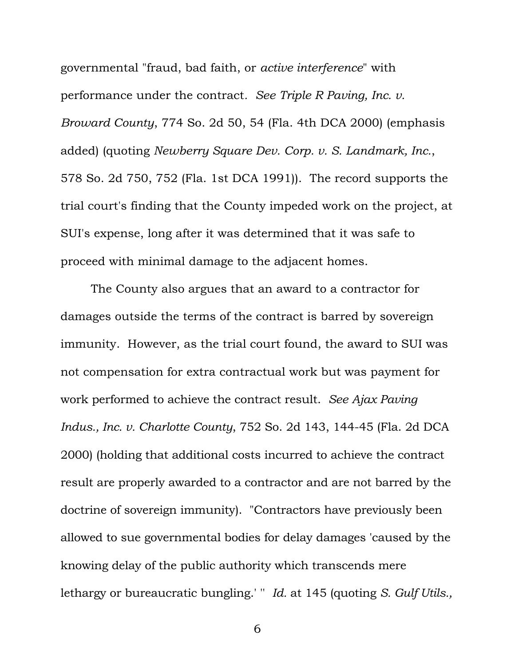governmental "fraud, bad faith, or *active interference*" with performance under the contract*. See Triple R Paving, Inc. v. Broward County*, 774 So. 2d 50, 54 (Fla. 4th DCA 2000) (emphasis added) (quoting *Newberry Square Dev. Corp. v. S. Landmark, Inc.*, 578 So. 2d 750, 752 (Fla. 1st DCA 1991)). The record supports the trial court's finding that the County impeded work on the project, at SUI's expense, long after it was determined that it was safe to proceed with minimal damage to the adjacent homes.

The County also argues that an award to a contractor for damages outside the terms of the contract is barred by sovereign immunity. However, as the trial court found, the award to SUI was not compensation for extra contractual work but was payment for work performed to achieve the contract result. *See Ajax Paving Indus., Inc. v. Charlotte County*, 752 So. 2d 143, 144-45 (Fla. 2d DCA 2000) (holding that additional costs incurred to achieve the contract result are properly awarded to a contractor and are not barred by the doctrine of sovereign immunity). "Contractors have previously been allowed to sue governmental bodies for delay damages 'caused by the knowing delay of the public authority which transcends mere lethargy or bureaucratic bungling.' '' *Id.* at 145 (quoting *S. Gulf Utils.,*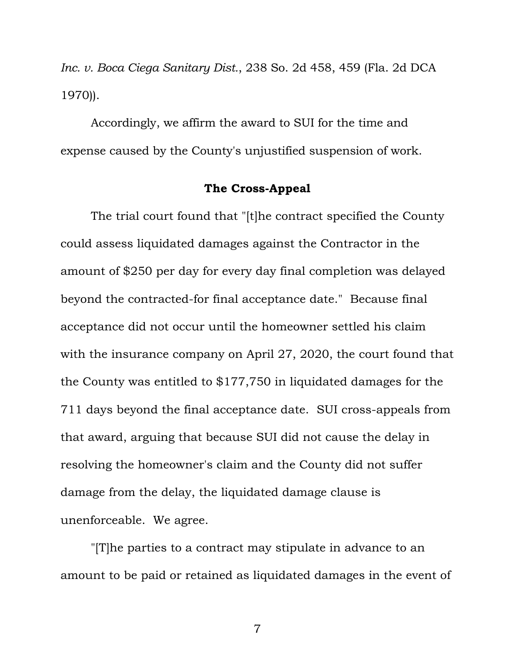*Inc. v. Boca Ciega Sanitary Dist.*, 238 So. 2d 458, 459 (Fla. 2d DCA 1970)).

Accordingly, we affirm the award to SUI for the time and expense caused by the County's unjustified suspension of work.

### **The Cross-Appeal**

The trial court found that "[t]he contract specified the County could assess liquidated damages against the Contractor in the amount of \$250 per day for every day final completion was delayed beyond the contracted-for final acceptance date." Because final acceptance did not occur until the homeowner settled his claim with the insurance company on April 27, 2020, the court found that the County was entitled to \$177,750 in liquidated damages for the 711 days beyond the final acceptance date. SUI cross-appeals from that award, arguing that because SUI did not cause the delay in resolving the homeowner's claim and the County did not suffer damage from the delay, the liquidated damage clause is unenforceable. We agree.

"[T]he parties to a contract may stipulate in advance to an amount to be paid or retained as liquidated damages in the event of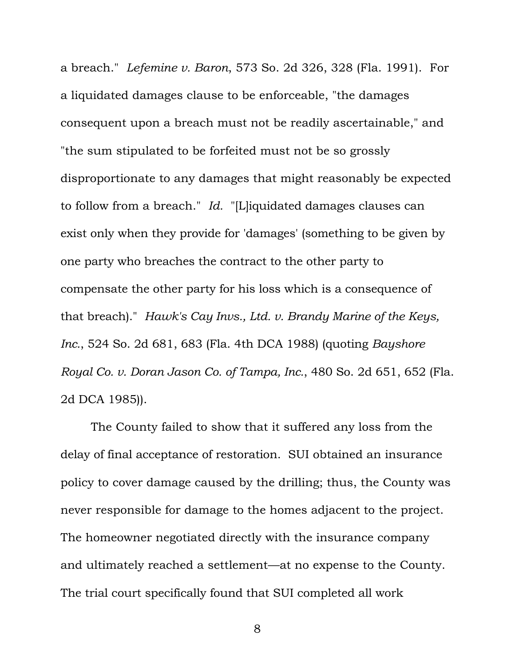a breach." *Lefemine v. Baron*, 573 So. 2d 326, 328 (Fla. 1991). For a liquidated damages clause to be enforceable, "the damages consequent upon a breach must not be readily ascertainable," and "the sum stipulated to be forfeited must not be so grossly disproportionate to any damages that might reasonably be expected to follow from a breach." *Id.* "[L]iquidated damages clauses can exist only when they provide for 'damages' (something to be given by one party who breaches the contract to the other party to compensate the other party for his loss which is a consequence of that breach)." *Hawk's Cay Invs., Ltd. v. Brandy Marine of the Keys, Inc.*, 524 So. 2d 681, 683 (Fla. 4th DCA 1988) (quoting *Bayshore Royal Co. v. Doran Jason Co. of Tampa, Inc.*, 480 So. 2d 651, 652 (Fla. 2d DCA 1985)).

The County failed to show that it suffered any loss from the delay of final acceptance of restoration. SUI obtained an insurance policy to cover damage caused by the drilling; thus, the County was never responsible for damage to the homes adjacent to the project. The homeowner negotiated directly with the insurance company and ultimately reached a settlement—at no expense to the County. The trial court specifically found that SUI completed all work